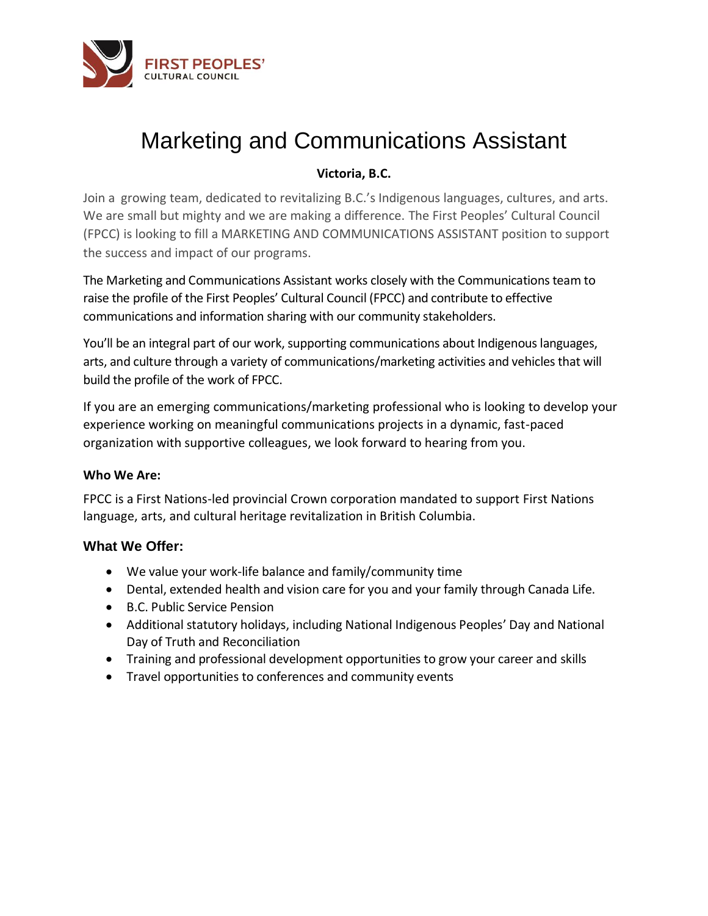

# Marketing and Communications Assistant

# **Victoria, B.C.**

Join a growing team, dedicated to revitalizing B.C.'s Indigenous languages, cultures, and arts. We are small but mighty and we are making a difference. The First Peoples' Cultural Council (FPCC) is looking to fill a MARKETING AND COMMUNICATIONS ASSISTANT position to support the success and impact of our programs.

The Marketing and Communications Assistant works closely with the Communications team to raise the profile of the First Peoples' Cultural Council (FPCC) and contribute to effective communications and information sharing with our community stakeholders.

You'll be an integral part of our work, supporting communications about Indigenous languages, arts, and culture through a variety of communications/marketing activities and vehicles that will build the profile of the work of FPCC.

If you are an emerging communications/marketing professional who is looking to develop your experience working on meaningful communications projects in a dynamic, fast-paced organization with supportive colleagues, we look forward to hearing from you.

## **Who We Are:**

FPCC is a First Nations-led provincial Crown corporation mandated to support First Nations language, arts, and cultural heritage revitalization in British Columbia.

# **What We Offer:**

- We value your work-life balance and family/community time
- Dental, extended health and vision care for you and your family through Canada Life.
- B.C. Public Service Pension
- Additional statutory holidays, including National Indigenous Peoples' Day and National Day of Truth and Reconciliation
- Training and professional development opportunities to grow your career and skills
- Travel opportunities to conferences and community events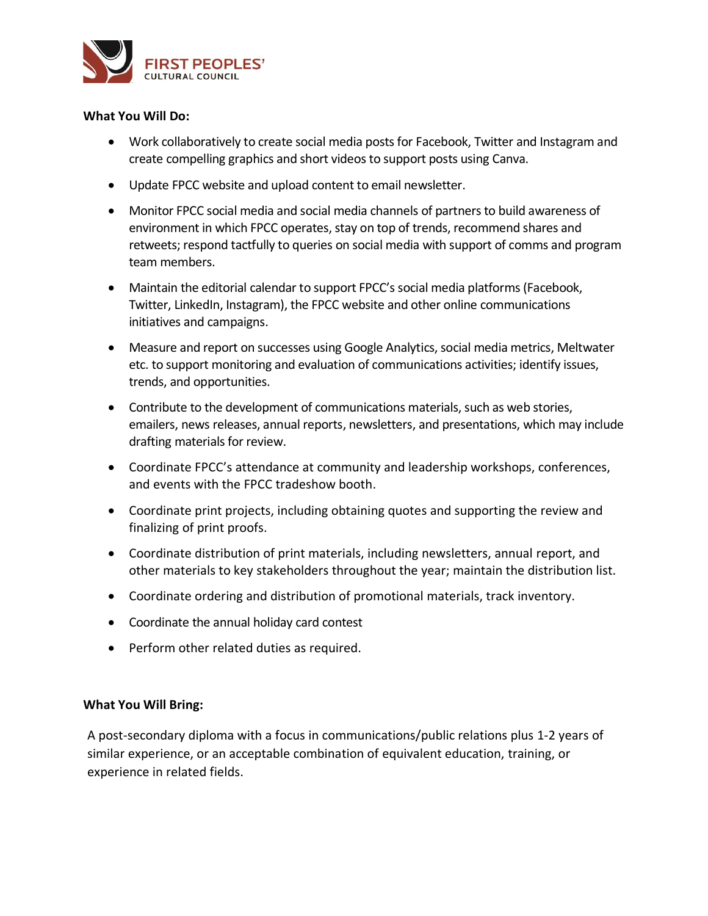

#### **What You Will Do:**

- Work collaboratively to create social media posts for Facebook, Twitter and Instagram and create compelling graphics and short videos to support posts using Canva.
- Update FPCC website and upload content to email newsletter.
- Monitor FPCC social media and social media channels of partners to build awareness of environment in which FPCC operates, stay on top of trends, recommend shares and retweets; respond tactfully to queries on social media with support of comms and program team members.
- Maintain the editorial calendar to support FPCC's social media platforms (Facebook, Twitter, LinkedIn, Instagram), the FPCC website and other online communications initiatives and campaigns.
- Measure and report on successes using Google Analytics, social media metrics, Meltwater etc. to support monitoring and evaluation of communications activities; identify issues, trends, and opportunities.
- Contribute to the development of communications materials, such as web stories, emailers, news releases, annual reports, newsletters, and presentations, which may include drafting materials for review.
- Coordinate FPCC's attendance at community and leadership workshops, conferences, and events with the FPCC tradeshow booth.
- Coordinate print projects, including obtaining quotes and supporting the review and finalizing of print proofs.
- Coordinate distribution of print materials, including newsletters, annual report, and other materials to key stakeholders throughout the year; maintain the distribution list.
- Coordinate ordering and distribution of promotional materials, track inventory.
- Coordinate the annual holiday card contest
- Perform other related duties as required.

## **What You Will Bring:**

A post-secondary diploma with a focus in communications/public relations plus 1-2 years of similar experience, or an acceptable combination of equivalent education, training, or experience in related fields.